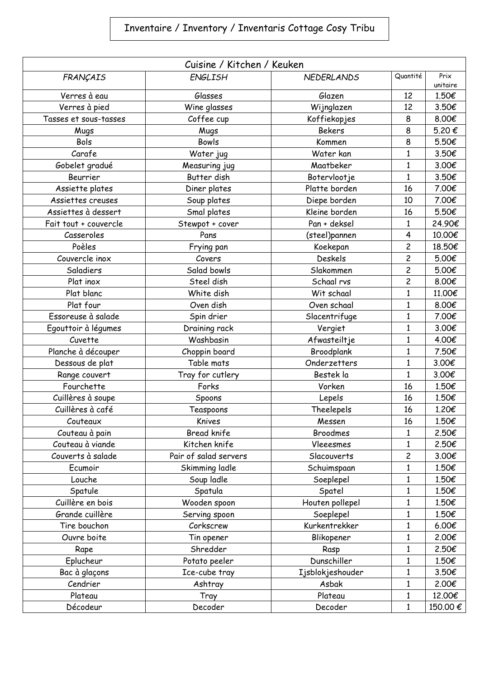## Inventaire / Inventory / Inventaris Cottage Cosy Tribu

| Cuisine / Kitchen / Keuken |                       |                   |                |                  |  |  |
|----------------------------|-----------------------|-------------------|----------------|------------------|--|--|
| FRANÇAIS                   | <b>ENGLISH</b>        | <b>NEDERLANDS</b> | Quantité       | Prix<br>unitaire |  |  |
| Verres à eau               | Glasses               | Glazen            | 12             | 1.50€            |  |  |
| Verres à pied              | Wine glasses          | Wijnglazen        | 12             | 3.50€            |  |  |
| Tasses et sous-tasses      | Coffee cup            | Koffiekopjes      | 8              | 8.00€            |  |  |
| Mugs                       | Mugs                  | <b>Bekers</b>     | 8              | 5.20€            |  |  |
| Bols                       | Bowls                 | Kommen            | 8              | 5.50€            |  |  |
| Carafe                     | Water jug             | Water kan         | $\mathbf{1}$   | 3.50€            |  |  |
| Gobelet gradué             | Measuring jug         | Maatbeker         | $\mathbf{1}$   | 3.00€            |  |  |
| Beurrier                   | Butter dish           | Botervlootje      | $\mathbf{1}$   | 3.50€            |  |  |
| Assiette plates            | Diner plates          | Platte borden     | 16             | 7.00€            |  |  |
| Assiettes creuses          | Soup plates           | Diepe borden      | 10             | 7.00€            |  |  |
| Assiettes à dessert        | Smal plates           | Kleine borden     | 16             | 5.50€            |  |  |
| Fait tout + couvercle      | Stewpot + cover       | Pan + deksel      | $\mathbf{1}$   | 24.90€           |  |  |
| Casseroles                 | Pans                  | (steel)pannen     | 4              | 10.00€           |  |  |
| Poèles                     | Frying pan            | Koekepan          | $\overline{c}$ | 18.50€           |  |  |
| Couvercle inox             | Covers                | Deskels           | $\overline{c}$ | 5.00€            |  |  |
| Saladiers                  | Salad bowls           | Slakommen         | $\overline{c}$ | 5.00€            |  |  |
| Plat inox                  | Steel dish            | Schaal rvs        | $\overline{c}$ | 8.00€            |  |  |
| Plat blanc                 | White dish            | Wit schaal        | $\mathbf{1}$   | 11.00€           |  |  |
| Plat four                  | Oven dish             | Oven schaal       | $\mathbf{1}$   | 8.00€            |  |  |
| Essoreuse à salade         | Spin drier            | Slacentrifuge     | $\mathbf{1}$   | 7.00€            |  |  |
| Egouttoir à légumes        | Draining rack         | Vergiet           | $\mathbf{1}$   | 3.00€            |  |  |
| Cuvette                    | Washbasin             | Afwasteiltje      | $\mathbf{1}$   | 4.00€            |  |  |
| Planche à découper         | Choppin board         | Broodplank        | 1              | 7.50€            |  |  |
| Dessous de plat            | Table mats            | Onderzetters      | $\mathbf{1}$   | 3.00€            |  |  |
| Range couvert              | Tray for cutlery      | Bestek la         | $\mathbf{1}$   | 3.00€            |  |  |
| Fourchette                 | Forks                 | Vorken            | 16             | 1.50€            |  |  |
| Cuillères à soupe          | Spoons                | Lepels            | 16             | 1.50€            |  |  |
| Cuillères à café           | Teaspoons             | Theelepels        | 16             | 1.20€            |  |  |
| Couteaux                   | Knives                | Messen            | 16             | 1.50€            |  |  |
| Couteau à pain             | Bread knife           | <b>Broodmes</b>   | 1              | 2.50€            |  |  |
| Couteau à viande           | Kitchen knife         | Vleeesmes         | $\mathbf{1}$   | 2.50€            |  |  |
| Couverts à salade          | Pair of salad servers | Slacouverts       | $\overline{c}$ | 3.00€            |  |  |
| Ecumoir                    | Skimming ladle        | Schuimspaan       | $\mathbf{1}$   | 1.50€            |  |  |
| Louche                     | Soup ladle            | Soeplepel         | $\mathbf{1}$   | 1.50€            |  |  |
| Spatule                    | Spatula               | Spatel            | 1              | 1.50€            |  |  |
| Cuillère en bois           | Wooden spoon          | Houten pollepel   | $\mathbf{1}$   | 1.50€            |  |  |
| Grande cuillère            | Serving spoon         | Soeplepel         | $\mathbf{1}$   | 1.50€            |  |  |
| Tire bouchon               | Corkscrew             | Kurkentrekker     | $\mathbf{1}$   | 6.00€            |  |  |
| Ouvre boite                | Tin opener            | Blikopener        | $\mathbf{1}$   | 2.00€            |  |  |
| Rape                       | Shredder              | Rasp              | 1              | 2.50€            |  |  |
| Eplucheur                  | Potato peeler         | Dunschiller       | $\mathbf{1}$   | 1.50€            |  |  |
| Bac à glaçons              | Ice-cube tray         | Ijsblokjeshouder  | 1              | 3.50€            |  |  |
| Cendrier                   | Ashtray               | Asbak             | $\mathbf{1}$   | 2.00€            |  |  |
| Plateau                    | Tray                  | Plateau           | $\mathbf{1}$   | 12.00€           |  |  |
| Décodeur                   | Decoder               | Decoder           | $\mathbf{1}$   | 150.00€          |  |  |